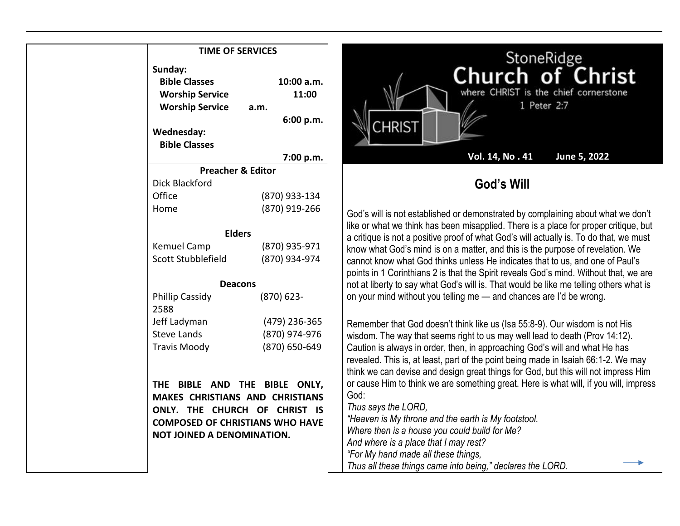| <b>TIME OF SERVICES</b>                                                                                                          |                                          | StoneRidge                                                                                                                                                                                                                                              |
|----------------------------------------------------------------------------------------------------------------------------------|------------------------------------------|---------------------------------------------------------------------------------------------------------------------------------------------------------------------------------------------------------------------------------------------------------|
| Sunday:<br><b>Bible Classes</b><br><b>Worship Service</b><br><b>Worship Service</b><br><b>Wednesday:</b><br><b>Bible Classes</b> | 10:00 a.m.<br>11:00<br>a.m.<br>6:00 p.m. | Church of Christ<br>where CHRIST is the chief cornerstone<br>1 Peter 2:7<br><b>CHRIST</b>                                                                                                                                                               |
|                                                                                                                                  | 7:00 p.m.                                | Vol. 14, No. 41<br>June 5, 2022                                                                                                                                                                                                                         |
| <b>Preacher &amp; Editor</b>                                                                                                     |                                          |                                                                                                                                                                                                                                                         |
| <b>Dick Blackford</b>                                                                                                            |                                          | God's Will                                                                                                                                                                                                                                              |
| Office                                                                                                                           | (870) 933-134                            |                                                                                                                                                                                                                                                         |
| Home                                                                                                                             | (870) 919-266                            | God's will is not established or demonstrated by complaining about what we don't<br>like or what we think has been misapplied. There is a place for proper critique, but                                                                                |
| <b>Elders</b>                                                                                                                    |                                          | a critique is not a positive proof of what God's will actually is. To do that, we must                                                                                                                                                                  |
| Kemuel Camp                                                                                                                      | (870) 935-971                            | know what God's mind is on a matter, and this is the purpose of revelation. We                                                                                                                                                                          |
| Scott Stubblefield                                                                                                               | (870) 934-974                            | cannot know what God thinks unless He indicates that to us, and one of Paul's<br>points in 1 Corinthians 2 is that the Spirit reveals God's mind. Without that, we are                                                                                  |
| <b>Deacons</b>                                                                                                                   |                                          | not at liberty to say what God's will is. That would be like me telling others what is                                                                                                                                                                  |
| <b>Phillip Cassidy</b><br>2588                                                                                                   | $(870)$ 623-                             | on your mind without you telling me - and chances are I'd be wrong.                                                                                                                                                                                     |
| Jeff Ladyman                                                                                                                     | (479) 236-365                            | Remember that God doesn't think like us (Isa 55:8-9). Our wisdom is not His                                                                                                                                                                             |
| <b>Steve Lands</b>                                                                                                               | (870) 974-976                            | wisdom. The way that seems right to us may well lead to death (Prov 14:12).                                                                                                                                                                             |
| <b>Travis Moody</b>                                                                                                              | (870) 650-649                            | Caution is always in order, then, in approaching God's will and what He has<br>revealed. This is, at least, part of the point being made in Isaiah 66:1-2. We may<br>think we can devise and design great things for God, but this will not impress Him |
| THE BIBLE AND THE BIBLE ONLY,                                                                                                    |                                          | or cause Him to think we are something great. Here is what will, if you will, impress                                                                                                                                                                   |
| MAKES CHRISTIANS AND CHRISTIANS                                                                                                  |                                          | God:<br>Thus says the LORD,                                                                                                                                                                                                                             |
| ONLY. THE CHURCH OF CHRIST IS                                                                                                    |                                          | "Heaven is My throne and the earth is My footstool.                                                                                                                                                                                                     |
| <b>COMPOSED OF CHRISTIANS WHO HAVE</b>                                                                                           |                                          | Where then is a house you could build for Me?                                                                                                                                                                                                           |
| NOT JOINED A DENOMINATION.                                                                                                       |                                          | And where is a place that I may rest?                                                                                                                                                                                                                   |
|                                                                                                                                  |                                          | "For My hand made all these things,                                                                                                                                                                                                                     |
|                                                                                                                                  |                                          | Thus all these things came into being," declares the LORD.                                                                                                                                                                                              |